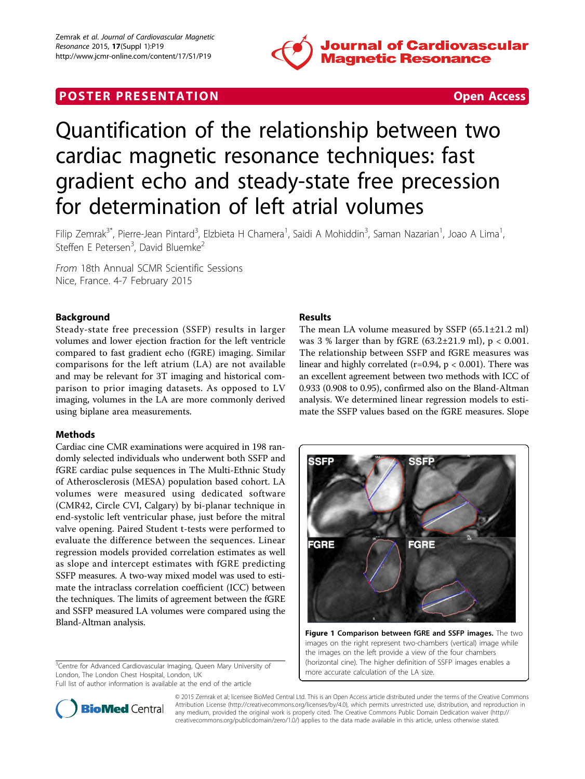

# **POSTER PRESENTATION CONSUMING THE SECOND CONSUMING THE SECOND CONSUMING THE SECOND CONSUMING THE SECOND CONSUMING THE SECOND CONSUMING THE SECOND CONSUMING THE SECOND CONSUMING THE SECOND CONSUMING THE SECOND CONSUMING**



# Quantification of the relationship between two cardiac magnetic resonance techniques: fast gradient echo and steady-state free precession for determination of left atrial volumes

Filip Zemrak<sup>3\*</sup>, Pierre-Jean Pintard<sup>3</sup>, Elzbieta H Chamera<sup>1</sup>, Saidi A Mohiddin<sup>3</sup>, Saman Nazarian<sup>1</sup>, Joao A Lima<sup>1</sup> , Steffen E Petersen<sup>3</sup>, David Bluemke<sup>2</sup>

From 18th Annual SCMR Scientific Sessions Nice, France. 4-7 February 2015

# Background

Steady-state free precession (SSFP) results in larger volumes and lower ejection fraction for the left ventricle compared to fast gradient echo (fGRE) imaging. Similar comparisons for the left atrium (LA) are not available and may be relevant for 3T imaging and historical comparison to prior imaging datasets. As opposed to LV imaging, volumes in the LA are more commonly derived using biplane area measurements.

# Methods

Cardiac cine CMR examinations were acquired in 198 randomly selected individuals who underwent both SSFP and fGRE cardiac pulse sequences in The Multi-Ethnic Study of Atherosclerosis (MESA) population based cohort. LA volumes were measured using dedicated software (CMR42, Circle CVI, Calgary) by bi-planar technique in end-systolic left ventricular phase, just before the mitral valve opening. Paired Student t-tests were performed to evaluate the difference between the sequences. Linear regression models provided correlation estimates as well as slope and intercept estimates with fGRE predicting SSFP measures. A two-way mixed model was used to estimate the intraclass correlation coefficient (ICC) between the techniques. The limits of agreement between the fGRE and SSFP measured LA volumes were compared using the Bland-Altman analysis.

<sup>3</sup>Centre for Advanced Cardiovascular Imaging, Queen Mary University of London, The London Chest Hospital, London, UK

Full list of author information is available at the end of the article

# Results

The mean LA volume measured by SSFP (65.1±21.2 ml) was 3 % larger than by fGRE (63.2 $\pm$ 21.9 ml), p < 0.001. The relationship between SSFP and fGRE measures was linear and highly correlated (r=0.94,  $p < 0.001$ ). There was an excellent agreement between two methods with ICC of 0.933 (0.908 to 0.95), confirmed also on the Bland-Altman analysis. We determined linear regression models to estimate the SSFP values based on the fGRE measures. Slope



Figure 1 Comparison between fGRE and SSFP images. The two images on the right represent two-chambers (vertical) image while the images on the left provide a view of the four chambers (horizontal cine). The higher definition of SSFP images enables a more accurate calculation of the LA size.



© 2015 Zemrak et al; licensee BioMed Central Ltd. This is an Open Access article distributed under the terms of the Creative Commons Attribution License [\(http://creativecommons.org/licenses/by/4.0](http://creativecommons.org/licenses/by/4.0)), which permits unrestricted use, distribution, and reproduction in any medium, provided the original work is properly cited. The Creative Commons Public Domain Dedication waiver [\(http://](http://creativecommons.org/publicdomain/zero/1.0/) [creativecommons.org/publicdomain/zero/1.0/](http://creativecommons.org/publicdomain/zero/1.0/)) applies to the data made available in this article, unless otherwise stated.